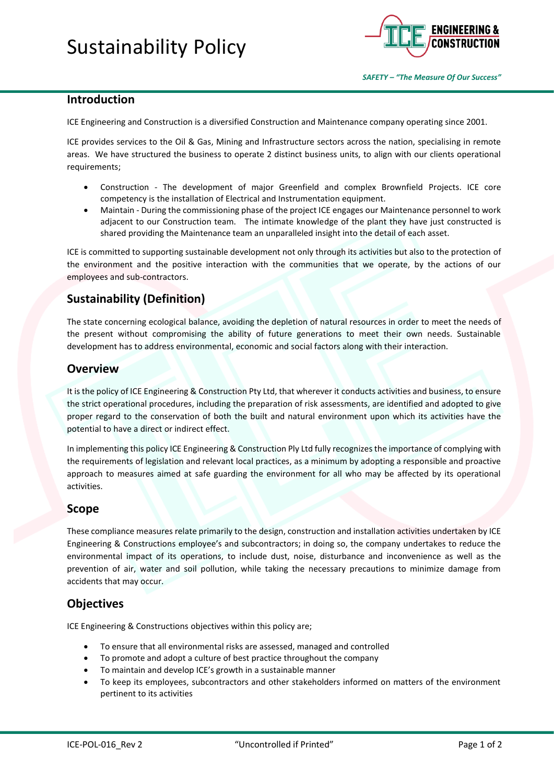

#### **Introduction**

ICE Engineering and Construction is a diversified Construction and Maintenance company operating since 2001.

ICE provides services to the Oil & Gas, Mining and Infrastructure sectors across the nation, specialising in remote areas. We have structured the business to operate 2 distinct business units, to align with our clients operational requirements;

- Construction The development of major Greenfield and complex Brownfield Projects. ICE core competency is the installation of Electrical and Instrumentation equipment.
- Maintain During the commissioning phase of the project ICE engages our Maintenance personnel to work adjacent to our Construction team. The intimate knowledge of the plant they have just constructed is shared providing the Maintenance team an unparalleled insight into the detail of each asset.

ICE is committed to supporting sustainable development not only through its activities but also to the protection of the environment and the positive interaction with the communities that we operate, by the actions of our employees and sub-contractors.

# **Sustainability (Definition)**

The state concerning ecological balance, avoiding the depletion of natural resources in order to meet the needs of the present without compromising the ability of future generations to meet their own needs. Sustainable development has to address environmental, economic and social factors along with their interaction.

#### **Overview**

It is the policy of ICE Engineering & Construction Pty Ltd, that wherever it conducts activities and business, to ensure the strict operational procedures, including the preparation of risk assessments, are identified and adopted to give proper regard to the conservation of both the built and natural environment upon which its activities have the potential to have a direct or indirect effect.

In implementing this policy ICE Engineering & Construction Ply Ltd fully recognizes the importance of complying with the requirements of legislation and relevant local practices, as a minimum by adopting a responsible and proactive approach to measures aimed at safe guarding the environment for all who may be affected by its operational activities.

#### **Scope**

These compliance measures relate primarily to the design, construction and installation activities undertaken by ICE Engineering & Constructions employee's and subcontractors; in doing so, the company undertakes to reduce the environmental impact of its operations, to include dust, noise, disturbance and inconvenience as well as the prevention of air, water and soil pollution, while taking the necessary precautions to minimize damage from accidents that may occur.

#### **Objectives**

ICE Engineering & Constructions objectives within this policy are;

- To ensure that all environmental risks are assessed, managed and controlled
- To promote and adopt a culture of best practice throughout the company
- To maintain and develop ICE's growth in a sustainable manner
- To keep its employees, subcontractors and other stakeholders informed on matters of the environment pertinent to its activities